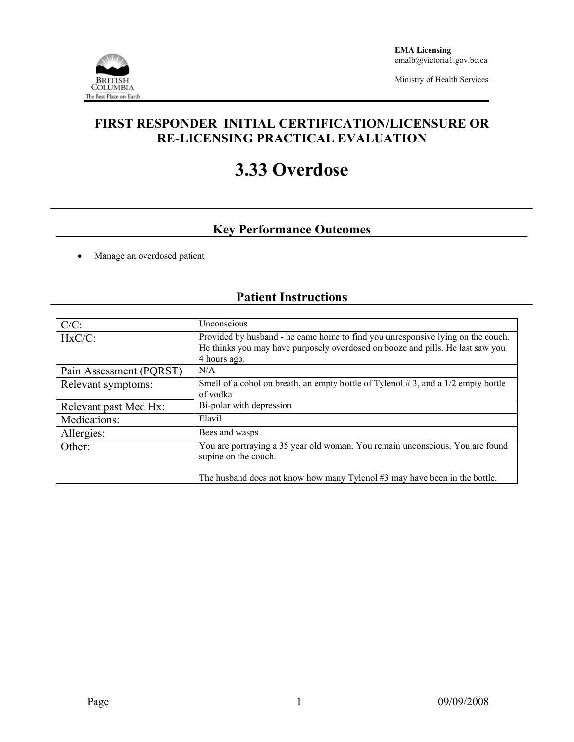

Ministry of Health Services

### **FIRST RESPONDER INITIAL CERTIFICATION/LICENSURE OR RE-LICENSING PRACTICAL EVALUATION**

# **3.33 Overdose**

## **Key Performance Outcomes**

• Manage an overdosed patient

### **Patient Instructions**

| $C/C$ :                 | Unconscious                                                                                                                                                                       |
|-------------------------|-----------------------------------------------------------------------------------------------------------------------------------------------------------------------------------|
| $HxC/C$ :               | Provided by husband - he came home to find you unresponsive lying on the couch.<br>He thinks you may have purposely overdosed on booze and pills. He last saw you<br>4 hours ago. |
| Pain Assessment (PQRST) | N/A                                                                                                                                                                               |
| Relevant symptoms:      | Smell of alcohol on breath, an empty bottle of Tylenol $#3$ , and a 1/2 empty bottle<br>of vodka                                                                                  |
| Relevant past Med Hx:   | Bi-polar with depression                                                                                                                                                          |
| Medications:            | Elavil                                                                                                                                                                            |
| Allergies:              | Bees and wasps                                                                                                                                                                    |
| Other:                  | You are portraying a 35 year old woman. You remain unconscious. You are found<br>supine on the couch.                                                                             |
|                         | The husband does not know how many Tylenol #3 may have been in the bottle.                                                                                                        |